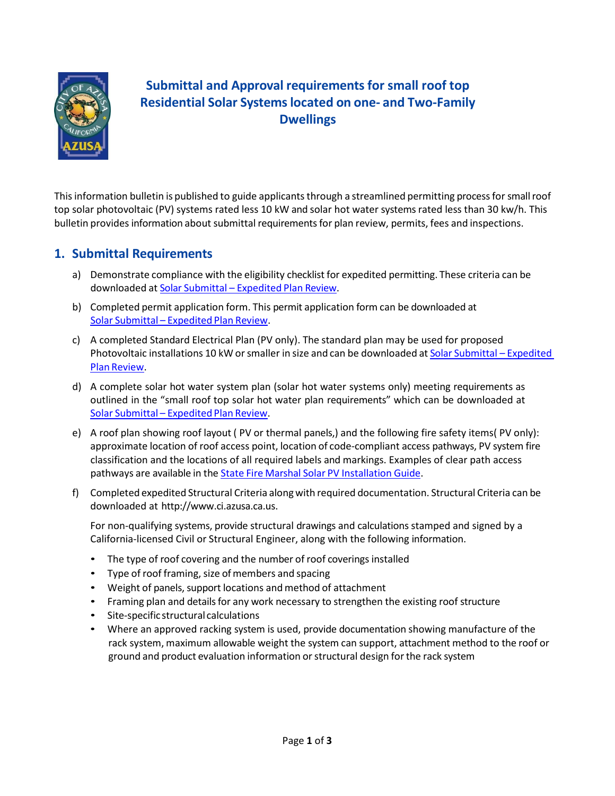

# **Submittal and Approval requirements for small roof top Residential Solar Systemslocated on one- and Two-Family Dwellings**

This information bulletin is published to guide applicants through a streamlined permitting process for small roof top solar photovoltaic (PV) systems rated less 10 kW and solar hot water systems rated less than 30 kw/h. This bulletin provides information about submittal requirements for plan review, permits, fees and inspections.

## **1. Submittal Requirements**

- a) Demonstrate compliance with the eligibility checklist for expedited permitting. These criteria can be downloaded at Solar Submittal – [Expedited](http://www.ci.azusa.ca.us/index.aspx?nid=1360) Plan Review.
- b) Completed permit application form. This permit application form can be downloaded at Solar Submittal – [Expedited](http://www.ci.azusa.ca.us/index.aspx?nid=1360) Plan Review.
- c) A completed Standard Electrical Plan (PV only). The standard plan may be used for proposed Photovoltaic installations 10 kW or smaller in size and can be downloaded at Solar Submittal – Expedited Plan [Review.](http://www.ci.azusa.ca.us/index.aspx?nid=1360)
- d) A complete solar hot water system plan (solar hot water systems only) meeting requirements as outlined in the "small roof top solar hot water plan requirements" which can be downloaded at Solar Submittal – [Expedited](http://www.ci.azusa.ca.us/index.aspx?nid=1360) Plan Review.
- e) A roof plan showing roof layout ( PV or thermal panels,) and the following fire safety items( PV only): approximate location of roof access point, location of code-compliant access pathways, PV system fire classification and the locations of all required labels and markings. Examples of clear path access pathways are available in the **State Fire Marshal Solar PV [Installation](http://osfm.fire.ca.gov/pdf/reports/solarphotovoltaicguideline.pdf) Guide**.
- f) Completed expedited Structural Criteria alongwith required documentation. Structural Criteria can be downloaded at [http://www.ci.azusa.ca.us.](http://www.ci.azusa.ca.us/)

For non-qualifying systems, provide structural drawings and calculations stamped and signed by a California-licensed Civil or Structural Engineer, along with the following information.

- The type of roof covering and the number of roof coverings installed
- Type of roof framing, size of members and spacing
- Weight of panels, support locations and method of attachment
- Framing plan and details for any work necessary to strengthen the existing roof structure
- Site-specific structural calculations
- Where an approved racking system is used, provide documentation showing manufacture of the rack system, maximum allowable weight the system can support, attachment method to the roof or ground and product evaluation information or structural design for the rack system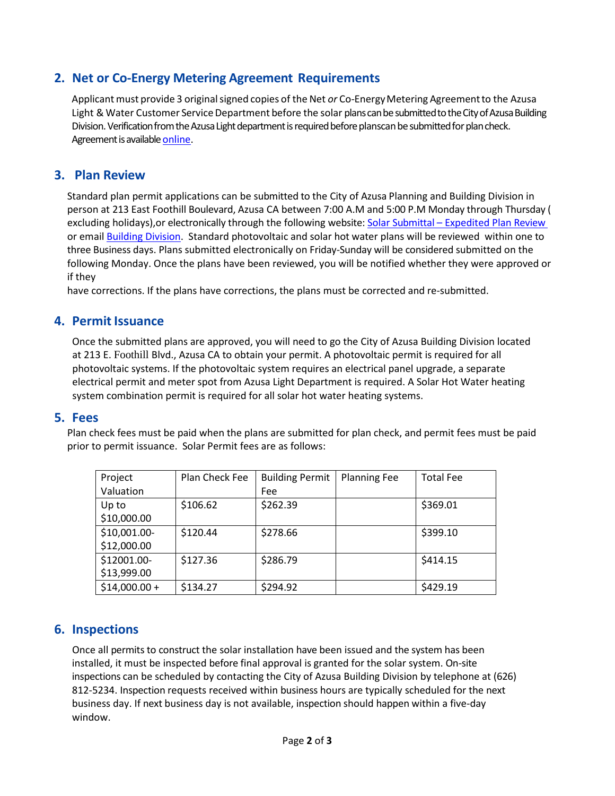## **2. Net or Co-Energy Metering Agreement Requirements**

Applicant must provide 3 original signed copies of the Net *or* Co-Energy Metering Agreement to the Azusa Light & Water Customer Service Department before the solar plans can be submitted to the City of Azusa Building Division. Verification from the Azusa Light department is required before planscan be submitted for plan check. Agreement is availabl[e online.](http://www.ci.azusa.ca.us/DocumentCenter/View/27228)

#### **3. Plan Review**

Standard plan permit applications can be submitted to the City of Azusa Planning and Building Division in person at 213 East Foothill Boulevard, Azusa CA between 7:00 A.M and 5:00 P.M Monday through Thursday ( excluding holidays),or electronically through the following website: Solar Submittal – [Expedited Plan Review](http://www.ci.azusa.ca.us/index.aspx?nid=1360)  or email [Building Division.](mailto:BuildingDiv@ci.azusa.ca.us) Standard photovoltaic and solar hot water plans will be reviewed within one to three Business days. Plans submitted electronically on Friday-Sunday will be considered submitted on the following Monday. Once the plans have been reviewed, you will be notified whether they were approved or if they

have corrections. If the plans have corrections, the plans must be corrected and re-submitted.

#### **4. Permit Issuance**

Once the submitted plans are approved, you will need to go the City of Azusa Building Division located at 213 E. Foothill Blvd., Azusa CA to obtain your permit. A photovoltaic permit is required for all photovoltaic systems. If the photovoltaic system requires an electrical panel upgrade, a separate electrical permit and meter spot from Azusa Light Department is required. A Solar Hot Water heating system combination permit is required for all solar hot water heating systems.

#### **5. Fees**

Plan check fees must be paid when the plans are submitted for plan check, and permit fees must be paid prior to permit issuance. Solar Permit fees are as follows:

| Project       | Plan Check Fee | <b>Building Permit</b> | <b>Planning Fee</b> | <b>Total Fee</b> |
|---------------|----------------|------------------------|---------------------|------------------|
| Valuation     |                | Fee                    |                     |                  |
| Up to         | \$106.62       | \$262.39               |                     | \$369.01         |
| \$10,000.00   |                |                        |                     |                  |
| \$10,001.00-  | \$120.44       | \$278.66               |                     | \$399.10         |
| \$12,000.00   |                |                        |                     |                  |
| \$12001.00-   | \$127.36       | \$286.79               |                     | \$414.15         |
| \$13,999.00   |                |                        |                     |                  |
| $$14,000.00+$ | \$134.27       | \$294.92               |                     | \$429.19         |

### **6. Inspections**

Once all permits to construct the solar installation have been issued and the system has been installed, it must be inspected before final approval is granted for the solar system. On-site inspections can be scheduled by contacting the City of Azusa Building Division by telephone at (626) 812-5234. Inspection requests received within business hours are typically scheduled for the next business day. If next business day is not available, inspection should happen within a five-day window.